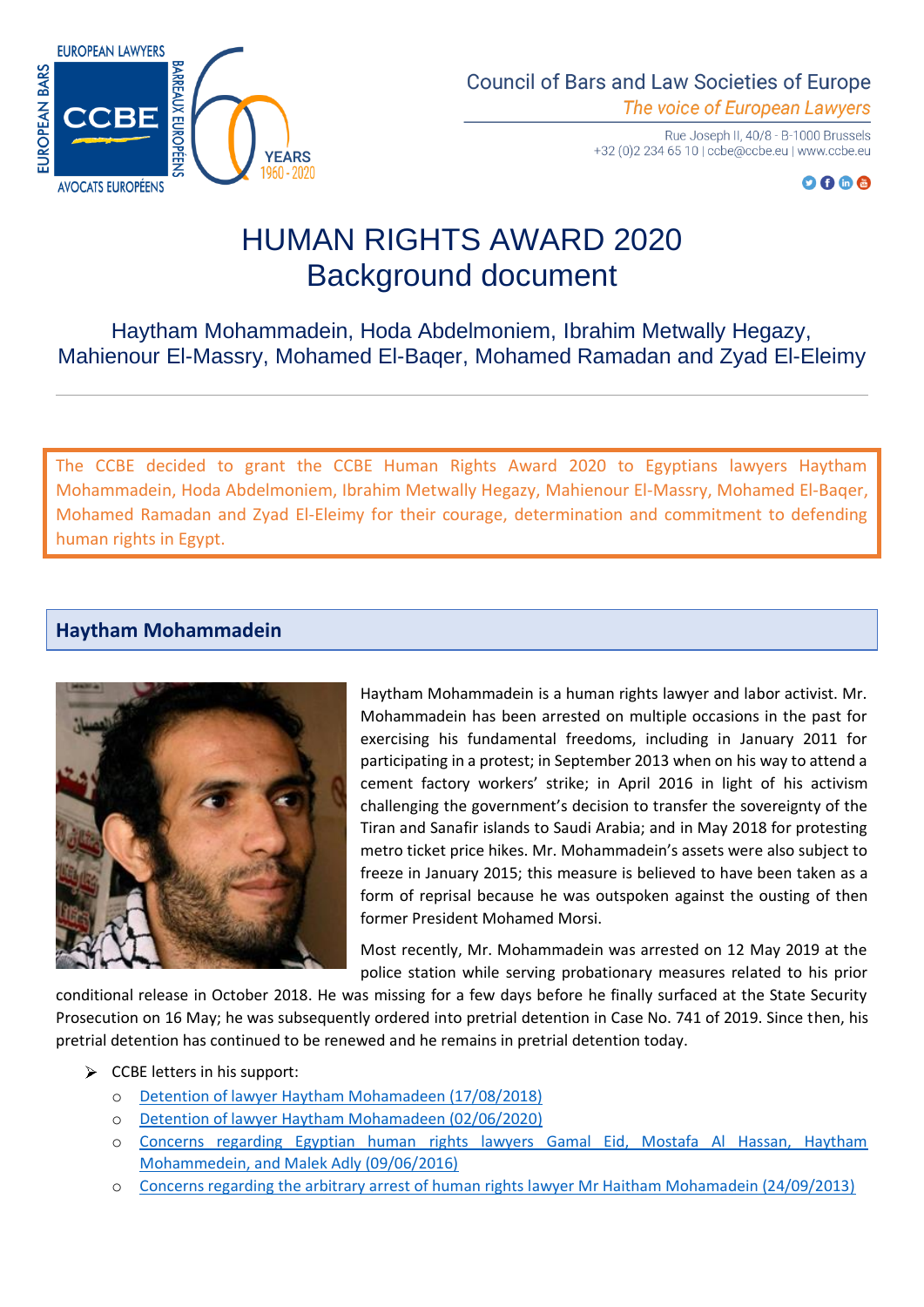

**Council of Bars and Law Societies of Europe** The voice of European Lawyers

> Rue Joseph II, 40/8 - B-1000 Brussels +32 (0) 2 234 65 10 | ccbe@ccbe.eu | www.ccbe.eu

> > $O O @ @$

# HUMAN RIGHTS AWARD 2020 Background document

Haytham Mohammadein, Hoda Abdelmoniem, Ibrahim Metwally Hegazy, Mahienour El-Massry, Mohamed El-Baqer, Mohamed Ramadan and Zyad El-Eleimy

The CCBE decided to grant the CCBE Human Rights Award 2020 to Egyptians lawyers Haytham Mohammadein, Hoda Abdelmoniem, Ibrahim Metwally Hegazy, Mahienour El-Massry, Mohamed El-Baqer, Mohamed Ramadan and Zyad El-Eleimy for their courage, determination and commitment to defending human rights in Egypt.

## **Haytham Mohammadein**



Haytham Mohammadein is a human rights lawyer and labor activist. Mr. Mohammadein has been arrested on multiple occasions in the past for exercising his fundamental freedoms, including in January 2011 for participating in a protest; in September 2013 when on his way to attend a cement factory workers' strike; in April 2016 in light of his activism challenging the government's decision to transfer the sovereignty of the Tiran and Sanafir islands to Saudi Arabia; and in May 2018 for protesting metro ticket price hikes. Mr. Mohammadein's assets were also subject to freeze in January 2015; this measure is believed to have been taken as a form of reprisal because he was outspoken against the ousting of then former President Mohamed Morsi.

Most recently, Mr. Mohammadein was arrested on 12 May 2019 at the police station while serving probationary measures related to his prior

conditional release in October 2018. He was missing for a few days before he finally surfaced at the State Security Prosecution on 16 May; he was subsequently ordered into pretrial detention in Case No. 741 of 2019. Since then, his pretrial detention has continued to be renewed and he remains in pretrial detention today.

- $\triangleright$  CCBE letters in his support:
	- o [Detention of lawyer Haytham Mohamadeen \(17/08/2018\)](https://www.ccbe.eu/fileadmin/speciality_distribution/public/documents/HUMAN_RIGHTS_LETTERS/Egypt_-_Egypte/2018/EN_HRL_20180817_Egypt_Detention-of-lawyer-Haytham-Mohamadeen.pdf)
	- o [Detention of lawyer Haytham Mohamadeen \(02/06/2020\)](https://www.ccbe.eu/fileadmin/speciality_distribution/public/documents/HUMAN_RIGHTS_LETTERS/Egypt_-_Egypte/2020/EN_HRL_20200602_Egypt_Detention-of-lawyer-Haytham-Mohamadeen.pdf)
	- o Concerns regarding Egyptian human [rights lawyers Gamal Eid, Mostafa Al Hassan, Haytham](https://www.ccbe.eu/fileadmin/speciality_distribution/public/documents/HUMAN_RIGHTS_LETTERS/Egypt_-_Egypte/2016/EN_HRL_20160609_Egypt__Mostafa_Al_Hassan_Gamal_Eid_Haytham_Mohammedein_Ma....pdf)  [Mohammedein, and Malek Adly \(09/06/2016\)](https://www.ccbe.eu/fileadmin/speciality_distribution/public/documents/HUMAN_RIGHTS_LETTERS/Egypt_-_Egypte/2016/EN_HRL_20160609_Egypt__Mostafa_Al_Hassan_Gamal_Eid_Haytham_Mohammedein_Ma....pdf)
	- o [Concerns regarding the arbitrary arrest of human rights lawyer Mr Haitham Mohamadein \(24/09/2013\)](https://www.ccbe.eu/fileadmin/speciality_distribution/public/documents/HUMAN_RIGHTS_LETTERS/Egypt_-_Egypte/2013/EN_HRL_20130924_Egypt_Haitam_Mohamadein.pdf)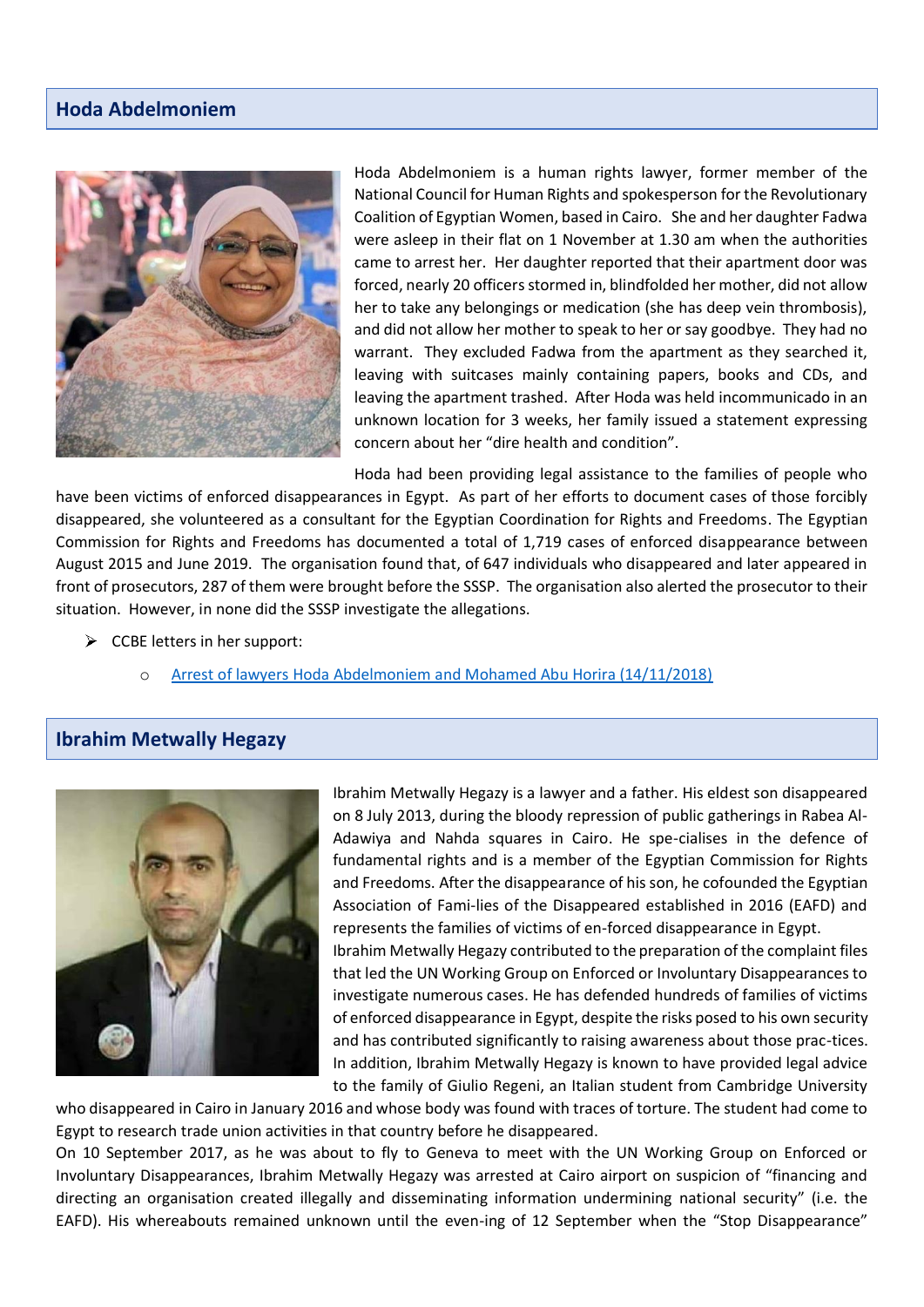## **Hoda Abdelmoniem**



Hoda Abdelmoniem is a human rights lawyer, former member of the National Council for Human Rights and spokesperson for the Revolutionary Coalition of Egyptian Women, based in Cairo. She and her daughter Fadwa were asleep in their flat on 1 November at 1.30 am when the authorities came to arrest her. Her daughter reported that their apartment door was forced, nearly 20 officers stormed in, blindfolded her mother, did not allow her to take any belongings or medication (she has deep vein thrombosis), and did not allow her mother to speak to her or say goodbye. They had no warrant. They excluded Fadwa from the apartment as they searched it, leaving with suitcases mainly containing papers, books and CDs, and leaving the apartment trashed. After Hoda was held incommunicado in an unknown location for 3 weeks, her family issued a statement expressing concern about her "dire health and condition".

Hoda had been providing legal assistance to the families of people who

have been victims of enforced disappearances in Egypt. As part of her efforts to document cases of those forcibly disappeared, she volunteered as a consultant for the Egyptian Coordination for Rights and Freedoms. The Egyptian Commission for Rights and Freedoms has documented a total of 1,719 cases of enforced disappearance between August 2015 and June 2019. The organisation found that, of 647 individuals who disappeared and later appeared in front of prosecutors, 287 of them were brought before the SSSP. The organisation also alerted the prosecutor to their situation. However, in none did the SSSP investigate the allegations.

- $\triangleright$  CCBE letters in her support:
	- [Arrest of lawyers Hoda Abdelmoniem and Mohamed Abu Horira \(14/11/2018\)](https://www.ccbe.eu/fileadmin/speciality_distribution/public/documents/HUMAN_RIGHTS_LETTERS/Egypt_-_Egypte/2018/EN_HRL_20181114_Egypt_Arrest-of-lawyers-Hoda-Abdelmoniem-and-Mohamed-Abu-Horira.pdf)

### **Ibrahim Metwally Hegazy**



Ibrahim Metwally Hegazy is a lawyer and a father. His eldest son disappeared on 8 July 2013, during the bloody repression of public gatherings in Rabea Al-Adawiya and Nahda squares in Cairo. He spe-cialises in the defence of fundamental rights and is a member of the Egyptian Commission for Rights and Freedoms. After the disappearance of his son, he cofounded the Egyptian Association of Fami-lies of the Disappeared established in 2016 (EAFD) and represents the families of victims of en-forced disappearance in Egypt.

Ibrahim Metwally Hegazy contributed to the preparation of the complaint files that led the UN Working Group on Enforced or Involuntary Disappearances to investigate numerous cases. He has defended hundreds of families of victims of enforced disappearance in Egypt, despite the risks posed to his own security and has contributed significantly to raising awareness about those prac-tices. In addition, Ibrahim Metwally Hegazy is known to have provided legal advice to the family of Giulio Regeni, an Italian student from Cambridge University

who disappeared in Cairo in January 2016 and whose body was found with traces of torture. The student had come to Egypt to research trade union activities in that country before he disappeared.

On 10 September 2017, as he was about to fly to Geneva to meet with the UN Working Group on Enforced or Involuntary Disappearances, Ibrahim Metwally Hegazy was arrested at Cairo airport on suspicion of "financing and directing an organisation created illegally and disseminating information undermining national security" (i.e. the EAFD). His whereabouts remained unknown until the even-ing of 12 September when the "Stop Disappearance"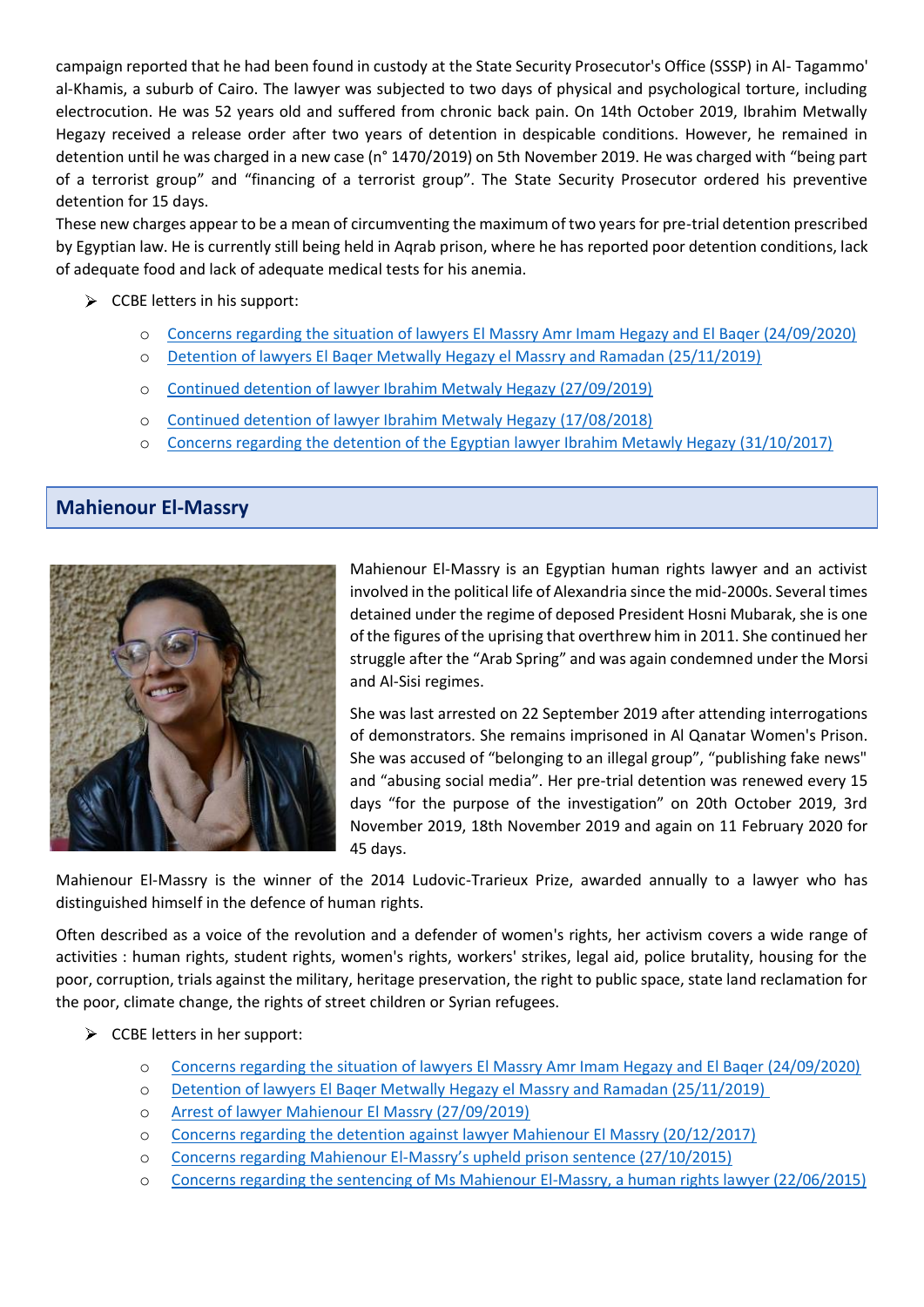campaign reported that he had been found in custody at the State Security Prosecutor's Office (SSSP) in Al- Tagammo' al-Khamis, a suburb of Cairo. The lawyer was subjected to two days of physical and psychological torture, including electrocution. He was 52 years old and suffered from chronic back pain. On 14th October 2019, Ibrahim Metwally Hegazy received a release order after two years of detention in despicable conditions. However, he remained in detention until he was charged in a new case (n° 1470/2019) on 5th November 2019. He was charged with "being part of a terrorist group" and "financing of a terrorist group". The State Security Prosecutor ordered his preventive detention for 15 days.

These new charges appear to be a mean of circumventing the maximum of two years for pre-trial detention prescribed by Egyptian law. He is currently still being held in Aqrab prison, where he has reported poor detention conditions, lack of adequate food and lack of adequate medical tests for his anemia.

- $\triangleright$  CCBE letters in his support:
	- o [Concerns regarding the situation of lawyers El Massry Amr Imam Hegazy and El Baqer \(24/09/2020\)](https://www.ccbe.eu/fileadmin/speciality_distribution/public/documents/HUMAN_RIGHTS_LETTERS/Egypt_-_Egypte/2020/EN_HRL_20200924_Egypt_Concerns-regarding-the-situation-of-lawyers-El-Massry-Amr-Imam-Hegazy-and-El-Baqer.pdf)
	- o [Detention of lawyers El Baqer Metwally Hegazy el Massry and Ramadan \(25/11/2019\)](https://www.ccbe.eu/fileadmin/speciality_distribution/public/documents/HUMAN_RIGHTS_LETTERS/Egypt_-_Egypte/2019/EN_HRL_20191125_Egypt_Detention-of-lawyers-El-Baqer-Metwally-Hegazy-el-Massry-and-Ramadan.pdf)
	- o [Continued detention of lawyer Ibrahim Metwaly Hegazy \(27/09/2019\)](https://www.ccbe.eu/fileadmin/speciality_distribution/public/documents/HUMAN_RIGHTS_LETTERS/Egypt_-_Egypte/2019/EN_HRL_20190927_Egypt_Continued-detention-of-lawyer-Ibrahim-Metwaly-Hegazy.pdf)
	- o [Continued detention of lawyer Ibrahim Metwaly Hegazy \(17/08/2018\)](https://www.ccbe.eu/fileadmin/speciality_distribution/public/documents/HUMAN_RIGHTS_LETTERS/Egypt_-_Egypte/2018/EN_HRL_20180817_Egypt_Continued-detention-of-lawyer-Ibrahim-Metwaly-Hegazy.pdf)
	- o [Concerns regarding the detention of the Egyptian lawyer Ibrahim Metawly Hegazy \(31/10/2017\)](https://www.ccbe.eu/fileadmin/speciality_distribution/public/documents/HUMAN_RIGHTS_LETTERS/Egypt_-_Egypte/2017/EN_HRL_20171031_Egypt_Concerns-regarding-the-detention-of-the-Egyptian-lawyer-Ibrahim-Metawly-Hegazy.pdf)

### **Mahienour El-Massry**



Mahienour El-Massry is an Egyptian human rights lawyer and an activist involved in the political life of Alexandria since the mid-2000s. Several times detained under the regime of deposed President Hosni Mubarak, she is one of the figures of the uprising that overthrew him in 2011. She continued her struggle after the "Arab Spring" and was again condemned under the Morsi and Al-Sisi regimes.

She was last arrested on 22 September 2019 after attending interrogations of demonstrators. She remains imprisoned in Al Qanatar Women's Prison. She was accused of "belonging to an illegal group", "publishing fake news" and "abusing social media". Her pre-trial detention was renewed every 15 days "for the purpose of the investigation" on 20th October 2019, 3rd November 2019, 18th November 2019 and again on 11 February 2020 for 45 days.

Mahienour El-Massry is the winner of the 2014 Ludovic-Trarieux Prize, awarded annually to a lawyer who has distinguished himself in the defence of human rights.

Often described as a voice of the revolution and a defender of women's rights, her activism covers a wide range of activities : human rights, student rights, women's rights, workers' strikes, legal aid, police brutality, housing for the poor, corruption, trials against the military, heritage preservation, the right to public space, state land reclamation for the poor, climate change, the rights of street children or Syrian refugees.

- $\triangleright$  CCBE letters in her support:
	- o [Concerns regarding the situation of lawyers El Massry Amr Imam Hegazy and El Baqer \(24/09/2020\)](https://www.ccbe.eu/fileadmin/speciality_distribution/public/documents/HUMAN_RIGHTS_LETTERS/Egypt_-_Egypte/2020/EN_HRL_20200924_Egypt_Concerns-regarding-the-situation-of-lawyers-El-Massry-Amr-Imam-Hegazy-and-El-Baqer.pdf)
	- o [Detention of lawyers El Baqer Metwally Hegazy el Massry and Ramadan \(25/11/2019\)](https://www.ccbe.eu/fileadmin/speciality_distribution/public/documents/HUMAN_RIGHTS_LETTERS/Egypt_-_Egypte/2019/EN_HRL_20191125_Egypt_Detention-of-lawyers-El-Baqer-Metwally-Hegazy-el-Massry-and-Ramadan.pdf)
	- o [Arrest of lawyer Mahienour El Massry \(27/09/2019\)](https://www.ccbe.eu/fileadmin/speciality_distribution/public/documents/HUMAN_RIGHTS_LETTERS/Egypt_-_Egypte/2019/EN_HRL_20190927_Egypt_Arrest-of-lawyer-Mahienour-El-Massry.pdf)
	- o [Concerns regarding the detention against lawyer Mahienour El Massry \(20/12/2017\)](https://www.ccbe.eu/fileadmin/speciality_distribution/public/documents/HUMAN_RIGHTS_LETTERS/Egypt_-_Egypte/2017/EN_HRL_20171220_Egypt_Concerns-regarding-the-detention-against-lawyer-Mahienour-El-Massry.pdf)
	- o Concerns regarding Mahienour El-[Massry's upheld prison sentence \(27/10/2015\)](https://www.ccbe.eu/fileadmin/speciality_distribution/public/documents/HUMAN_RIGHTS_LETTERS/Egypt_-_Egypte/2015/EN_HRL_20151027_Egypt_Mahienour_El-Massry.pdf)
	- o [Concerns regarding the sentencing of Ms Mahienour El-Massry, a human rights lawyer \(22/06/2015\)](https://www.ccbe.eu/fileadmin/speciality_distribution/public/documents/HUMAN_RIGHTS_LETTERS/Egypt_-_Egypte/2015/EN_HRL_20150622_Egypt_Mahienour_El-Massry.pdf)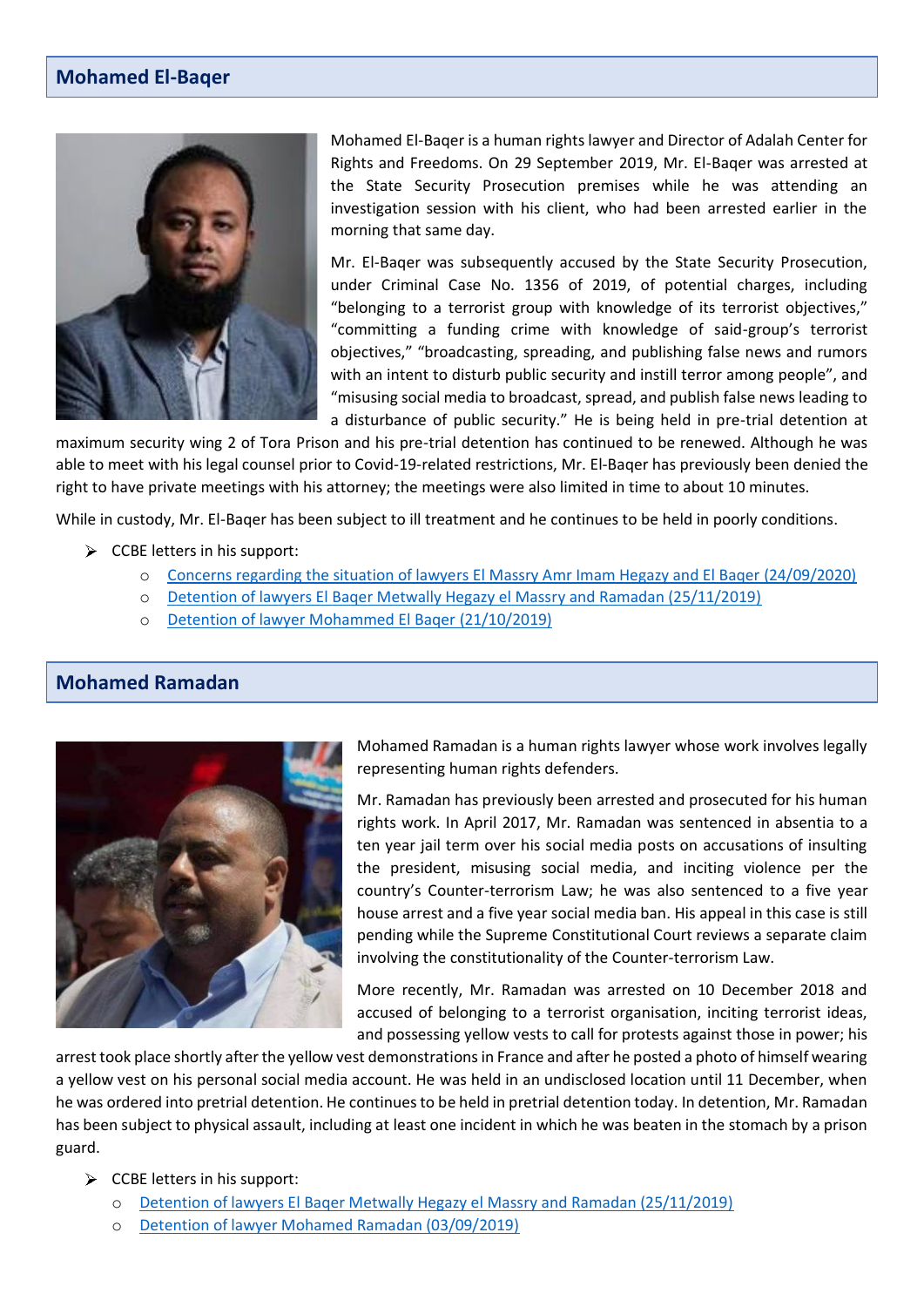#### **Mohamed El-Baqer**



Mohamed El-Baqer is a human rights lawyer and Director of Adalah Center for Rights and Freedoms. On 29 September 2019, Mr. El-Baqer was arrested at the State Security Prosecution premises while he was attending an investigation session with his client, who had been arrested earlier in the morning that same day.

Mr. El-Baqer was subsequently accused by the State Security Prosecution, under Criminal Case No. 1356 of 2019, of potential charges, including "belonging to a terrorist group with knowledge of its terrorist objectives," "committing a funding crime with knowledge of said-group's terrorist objectives," "broadcasting, spreading, and publishing false news and rumors with an intent to disturb public security and instill terror among people", and "misusing social media to broadcast, spread, and publish false news leading to a disturbance of public security." He is being held in pre-trial detention at

maximum security wing 2 of Tora Prison and his pre-trial detention has continued to be renewed. Although he was able to meet with his legal counsel prior to Covid-19-related restrictions, Mr. El-Baqer has previously been denied the right to have private meetings with his attorney; the meetings were also limited in time to about 10 minutes.

While in custody, Mr. El-Baqer has been subject to ill treatment and he continues to be held in poorly conditions.

- $\triangleright$  CCBE letters in his support:
	- o [Concerns regarding the situation of lawyers El Massry Amr Imam Hegazy and El Baqer \(24/09/2020\)](https://www.ccbe.eu/fileadmin/speciality_distribution/public/documents/HUMAN_RIGHTS_LETTERS/Egypt_-_Egypte/2020/EN_HRL_20200924_Egypt_Concerns-regarding-the-situation-of-lawyers-El-Massry-Amr-Imam-Hegazy-and-El-Baqer.pdf)
	- o [Detention of lawyers El Baqer Metwally Hegazy el Massry and Ramadan \(25/11/2019\)](https://www.ccbe.eu/fileadmin/speciality_distribution/public/documents/HUMAN_RIGHTS_LETTERS/Egypt_-_Egypte/2019/EN_HRL_20191125_Egypt_Detention-of-lawyers-El-Baqer-Metwally-Hegazy-el-Massry-and-Ramadan.pdf)
	- o [Detention of lawyer Mohammed El Baqer \(21/10/2019\)](https://www.ccbe.eu/fileadmin/speciality_distribution/public/documents/HUMAN_RIGHTS_LETTERS/Egypt_-_Egypte/2019/EN_HRL_20191021_Egypt_Detention-of-lawyer-Mohammed-El-Baqer.pdf)

#### **Mohamed Ramadan**



Mohamed Ramadan is a human rights lawyer whose work involves legally representing human rights defenders.

Mr. Ramadan has previously been arrested and prosecuted for his human rights work. In April 2017, Mr. Ramadan was sentenced in absentia to a ten year jail term over his social media posts on accusations of insulting the president, misusing social media, and inciting violence per the country's Counter-terrorism Law; he was also sentenced to a five year house arrest and a five year social media ban. His appeal in this case is still pending while the Supreme Constitutional Court reviews a separate claim involving the constitutionality of the Counter-terrorism Law.

More recently, Mr. Ramadan was arrested on 10 December 2018 and accused of belonging to a terrorist organisation, inciting terrorist ideas, and possessing yellow vests to call for protests against those in power; his

arrest took place shortly after the yellow vest demonstrations in France and after he posted a photo of himself wearing a yellow vest on his personal social media account. He was held in an undisclosed location until 11 December, when he was ordered into pretrial detention. He continues to be held in pretrial detention today. In detention, Mr. Ramadan has been subject to physical assault, including at least one incident in which he was beaten in the stomach by a prison guard.

- $\triangleright$  CCBE letters in his support:
	- o [Detention of lawyers El Baqer Metwally Hegazy el Massry and Ramadan \(25/11/2019\)](https://www.ccbe.eu/fileadmin/speciality_distribution/public/documents/HUMAN_RIGHTS_LETTERS/Egypt_-_Egypte/2019/EN_HRL_20191125_Egypt_Detention-of-lawyers-El-Baqer-Metwally-Hegazy-el-Massry-and-Ramadan.pdf)
	- o [Detention of lawyer Mohamed Ramadan \(03/09/2019\)](https://www.ccbe.eu/fileadmin/speciality_distribution/public/documents/HUMAN_RIGHTS_LETTERS/Egypt_-_Egypte/2019/EN_HRL_20190903_Egypt_Detention-of-lawyer-Mohamed-Ramadan.pdf)